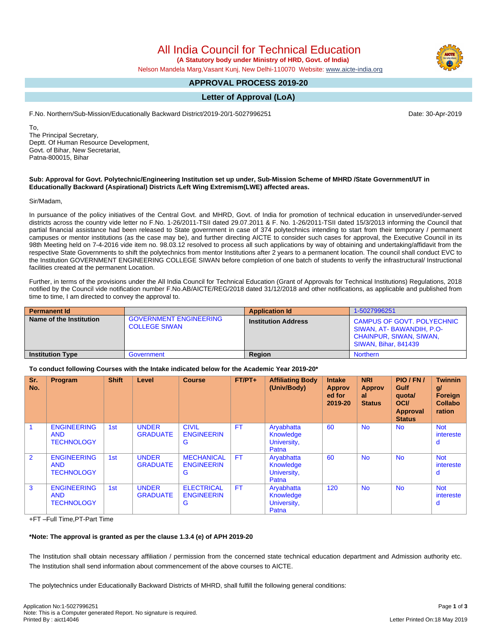# All India Council for Technical Education

 **(A Statutory body under Ministry of HRD, Govt. of India)**

Nelson Mandela Marg,Vasant Kunj, New Delhi-110070 Website: [www.aicte-india.org](http://www.aicte-india.org)

### **APPROVAL PROCESS 2019-20**

## **Letter of Approval (LoA)**

F.No. Northern/Sub-Mission/Educationally Backward District/2019-20/1-5027996251 Date: 30-Apr-2019

To, The Principal Secretary, Deptt. Of Human Resource Development, Govt. of Bihar, New Secretariat, Patna-800015, Bihar

#### **Sub: Approval for Govt. Polytechnic/Engineering Institution set up under, Sub-Mission Scheme of MHRD /State Government/UT in Educationally Backward (Aspirational) Districts /Left Wing Extremism(LWE) affected areas.**

Sir/Madam,

In pursuance of the policy initiatives of the Central Govt. and MHRD, Govt. of India for promotion of technical education in unserved/under-served districts across the country vide letter no F.No. 1-26/2011-TSII dated 29.07.2011 & F. No. 1-26/2011-TSII dated 15/3/2013 informing the Council that partial financial assistance had been released to State government in case of 374 polytechnics intending to start from their temporary / permanent campuses or mentor institutions (as the case may be), and further directing AICTE to consider such cases for approval, the Executive Council in its 98th Meeting held on 7-4-2016 vide item no. 98.03.12 resolved to process all such applications by way of obtaining and undertaking/affidavit from the respective State Governments to shift the polytechnics from mentor Institutions after 2 years to a permanent location. The council shall conduct EVC to the Institution GOVERNMENT ENGINEERING COLLEGE SIWAN before completion of one batch of students to verify the infrastructural/ Instructional facilities created at the permanent Location.

Further, in terms of the provisions under the All India Council for Technical Education (Grant of Approvals for Technical Institutions) Regulations, 2018 notified by the Council vide notification number F.No.AB/AICTE/REG/2018 dated 31/12/2018 and other notifications, as applicable and published from time to time, I am directed to convey the approval to.

| <b>Permanent Id</b>     |                                                       | <b>Application Id</b>      | 1-5027996251                                                                                                     |
|-------------------------|-------------------------------------------------------|----------------------------|------------------------------------------------------------------------------------------------------------------|
| Name of the Institution | <b>GOVERNMENT ENGINEERING</b><br><b>COLLEGE SIWAN</b> | <b>Institution Address</b> | CAMPUS OF GOVT. POLYECHNIC<br>SIWAN, AT-BAWANDIH, P.O-<br>CHAINPUR, SIWAN, SIWAN,<br><b>SIWAN, Bihar, 841439</b> |
| <b>Institution Type</b> | Government                                            | <b>Region</b>              | <b>Northern</b>                                                                                                  |

#### **To conduct following Courses with the Intake indicated below for the Academic Year 2019-20\***

| Sr.<br>No.     | Program                                               | <b>Shift</b> | Level                           | <b>Course</b>                               | $FT/PT+$  | <b>Affiliating Body</b><br>(Univ/Body)          | <b>Intake</b><br><b>Approv</b><br>ed for<br>2019-20 | <b>NRI</b><br><b>Approv</b><br>al<br><b>Status</b> | PIO / FN /<br>Gulf<br>quota/<br><b>OCI</b><br><b>Approval</b><br><b>Status</b> | <b>Twinnin</b><br>g/<br>Foreign<br><b>Collabo</b><br>ration |
|----------------|-------------------------------------------------------|--------------|---------------------------------|---------------------------------------------|-----------|-------------------------------------------------|-----------------------------------------------------|----------------------------------------------------|--------------------------------------------------------------------------------|-------------------------------------------------------------|
|                | <b>ENGINEERING</b><br><b>AND</b><br><b>TECHNOLOGY</b> | 1st          | <b>UNDER</b><br><b>GRADUATE</b> | <b>CIVIL</b><br><b>ENGINEERIN</b><br>G      | <b>FT</b> | Aryabhatta<br>Knowledge<br>University,<br>Patna | 60                                                  | <b>No</b>                                          | <b>No</b>                                                                      | <b>Not</b><br>intereste<br>d                                |
| $\overline{2}$ | <b>ENGINEERING</b><br><b>AND</b><br><b>TECHNOLOGY</b> | 1st          | <b>UNDER</b><br><b>GRADUATE</b> | <b>MECHANICAL</b><br><b>ENGINEERIN</b><br>G | <b>FT</b> | Aryabhatta<br>Knowledge<br>University,<br>Patna | 60                                                  | <b>No</b>                                          | <b>No</b>                                                                      | <b>Not</b><br>intereste<br>d                                |
| 3              | <b>ENGINEERING</b><br><b>AND</b><br><b>TECHNOLOGY</b> | 1st          | <b>UNDER</b><br><b>GRADUATE</b> | <b>ELECTRICAL</b><br><b>ENGINEERIN</b><br>G | <b>FT</b> | Aryabhatta<br>Knowledge<br>University,<br>Patna | 120                                                 | <b>No</b>                                          | <b>No</b>                                                                      | <b>Not</b><br>intereste<br>d                                |

+FT –Full Time,PT-Part Time

#### **\*Note: The approval is granted as per the clause 1.3.4 (e) of APH 2019-20**

The Institution shall obtain necessary affiliation / permission from the concerned state technical education department and Admission authority etc. The Institution shall send information about commencement of the above courses to AICTE.

The polytechnics under Educationally Backward Districts of MHRD, shall fulfill the following general conditions:

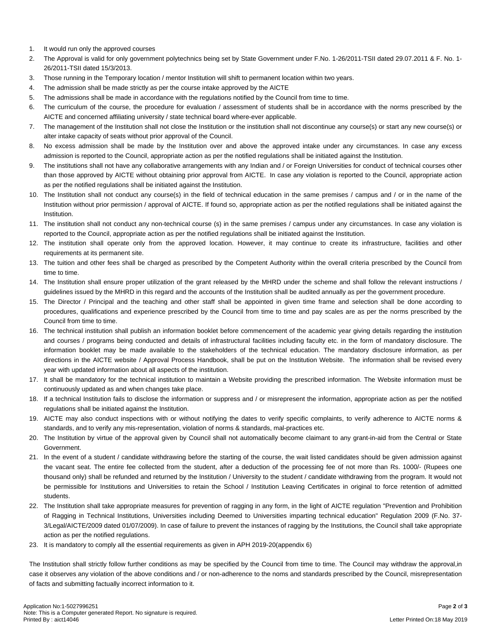- 1. It would run only the approved courses
- 2. The Approval is valid for only government polytechnics being set by State Government under F.No. 1-26/2011-TSII dated 29.07.2011 & F. No. 1- 26/2011-TSII dated 15/3/2013.
- 3. Those running in the Temporary location / mentor Institution will shift to permanent location within two years.
- 4. The admission shall be made strictly as per the course intake approved by the AICTE
- 5. The admissions shall be made in accordance with the regulations notified by the Council from time to time.
- 6. The curriculum of the course, the procedure for evaluation / assessment of students shall be in accordance with the norms prescribed by the AICTE and concerned affiliating university / state technical board where-ever applicable.
- 7. The management of the Institution shall not close the Institution or the institution shall not discontinue any course(s) or start any new course(s) or alter intake capacity of seats without prior approval of the Council.
- 8. No excess admission shall be made by the Institution over and above the approved intake under any circumstances. In case any excess admission is reported to the Council, appropriate action as per the notified regulations shall be initiated against the Institution.
- 9. The institutions shall not have any collaborative arrangements with any Indian and / or Foreign Universities for conduct of technical courses other than those approved by AICTE without obtaining prior approval from AICTE. In case any violation is reported to the Council, appropriate action as per the notified regulations shall be initiated against the Institution.
- 10. The Institution shall not conduct any course(s) in the field of technical education in the same premises / campus and / or in the name of the Institution without prior permission / approval of AICTE. If found so, appropriate action as per the notified regulations shall be initiated against the Institution.
- 11. The institution shall not conduct any non-technical course (s) in the same premises / campus under any circumstances. In case any violation is reported to the Council, appropriate action as per the notified regulations shall be initiated against the Institution.
- 12. The institution shall operate only from the approved location. However, it may continue to create its infrastructure, facilities and other requirements at its permanent site.
- 13. The tuition and other fees shall be charged as prescribed by the Competent Authority within the overall criteria prescribed by the Council from time to time.
- 14. The Institution shall ensure proper utilization of the grant released by the MHRD under the scheme and shall follow the relevant instructions / guidelines issued by the MHRD in this regard and the accounts of the Institution shall be audited annually as per the government procedure.
- 15. The Director / Principal and the teaching and other staff shall be appointed in given time frame and selection shall be done according to procedures, qualifications and experience prescribed by the Council from time to time and pay scales are as per the norms prescribed by the Council from time to time.
- 16. The technical institution shall publish an information booklet before commencement of the academic year giving details regarding the institution and courses / programs being conducted and details of infrastructural facilities including faculty etc. in the form of mandatory disclosure. The information booklet may be made available to the stakeholders of the technical education. The mandatory disclosure information, as per directions in the AICTE website / Approval Process Handbook, shall be put on the Institution Website. The information shall be revised every year with updated information about all aspects of the institution.
- 17. It shall be mandatory for the technical institution to maintain a Website providing the prescribed information. The Website information must be continuously updated as and when changes take place.
- 18. If a technical Institution fails to disclose the information or suppress and / or misrepresent the information, appropriate action as per the notified regulations shall be initiated against the Institution.
- 19. AICTE may also conduct inspections with or without notifying the dates to verify specific complaints, to verify adherence to AICTE norms & standards, and to verify any mis-representation, violation of norms & standards, mal-practices etc.
- 20. The Institution by virtue of the approval given by Council shall not automatically become claimant to any grant-in-aid from the Central or State Government.
- 21. In the event of a student / candidate withdrawing before the starting of the course, the wait listed candidates should be given admission against the vacant seat. The entire fee collected from the student, after a deduction of the processing fee of not more than Rs. 1000/- (Rupees one thousand only) shall be refunded and returned by the Institution / University to the student / candidate withdrawing from the program. It would not be permissible for Institutions and Universities to retain the School / Institution Leaving Certificates in original to force retention of admitted students.
- 22. The Institution shall take appropriate measures for prevention of ragging in any form, in the light of AICTE regulation "Prevention and Prohibition of Ragging in Technical Institutions, Universities including Deemed to Universities imparting technical education" Regulation 2009 (F.No. 37- 3/Legal/AICTE/2009 dated 01/07/2009). In case of failure to prevent the instances of ragging by the Institutions, the Council shall take appropriate action as per the notified regulations.
- 23. It is mandatory to comply all the essential requirements as given in APH 2019-20(appendix 6)

The Institution shall strictly follow further conditions as may be specified by the Council from time to time. The Council may withdraw the approval,in case it observes any violation of the above conditions and / or non-adherence to the noms and standards prescribed by the Council, misrepresentation of facts and submitting factually incorrect information to it.